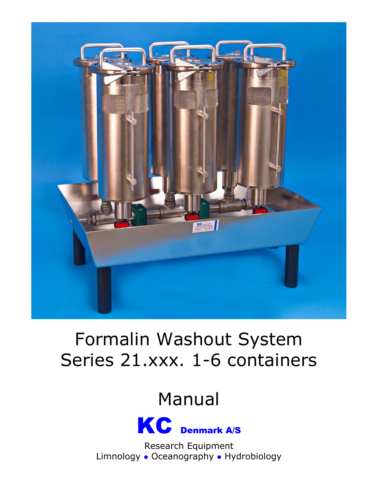

# Formalin Washout System Series 21.xxx. 1-6 containers

# Manual



Research Equipment Limnology • Oceanography • Hydrobiology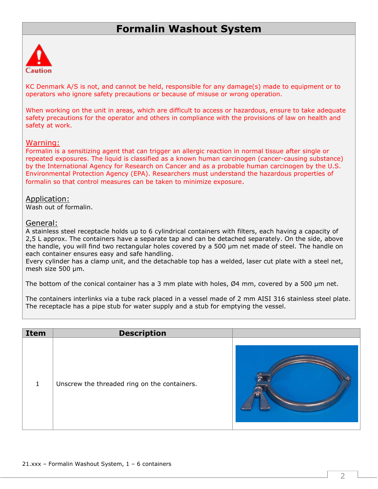## **Formalin Washout System**



KC Denmark A/S is not, and cannot be held, responsible for any damage(s) made to equipment or to operators who ignore safety precautions or because of misuse or wrong operation.

When working on the unit in areas, which are difficult to access or hazardous, ensure to take adequate safety precautions for the operator and others in compliance with the provisions of law on health and safety at work.

#### Warning:

Formalin is a sensitizing agent that can trigger an allergic reaction in normal tissue after single or repeated exposures. The liquid is classified as a known human carcinogen (cancer-causing substance) by the International Agency for Research on Cancer and as a probable human carcinogen by the U.S. Environmental Protection Agency (EPA). Researchers must understand the hazardous properties of formalin so that control measures can be taken to minimize exposure.

### Application:

Wash out of formalin.

### General:

A stainless steel receptacle holds up to 6 cylindrical containers with filters, each having a capacity of 2,5 L approx. The containers have a separate tap and can be detached separately. On the side, above the handle, you will find two rectangular holes covered by a 500 µm net made of steel. The handle on each container ensures easy and safe handling.

Every cylinder has a clamp unit, and the detachable top has a welded, laser cut plate with a steel net, mesh size 500 µm.

The bottom of the conical container has a 3 mm plate with holes,  $\varnothing$ 4 mm, covered by a 500  $\mu$ m net.

The containers interlinks via a tube rack placed in a vessel made of 2 mm AISI 316 stainless steel plate. The receptacle has a pipe stub for water supply and a stub for emptying the vessel.

| Item | <b>Description</b>                           |  |
|------|----------------------------------------------|--|
| 1    | Unscrew the threaded ring on the containers. |  |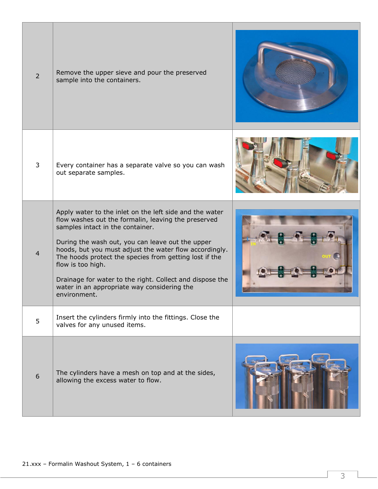| $\overline{2}$ | Remove the upper sieve and pour the preserved<br>sample into the containers.                                                                                                                                                                                                                                                                                                                                                                                               |  |
|----------------|----------------------------------------------------------------------------------------------------------------------------------------------------------------------------------------------------------------------------------------------------------------------------------------------------------------------------------------------------------------------------------------------------------------------------------------------------------------------------|--|
| 3              | Every container has a separate valve so you can wash<br>out separate samples.                                                                                                                                                                                                                                                                                                                                                                                              |  |
| $\overline{4}$ | Apply water to the inlet on the left side and the water<br>flow washes out the formalin, leaving the preserved<br>samples intact in the container.<br>During the wash out, you can leave out the upper<br>hoods, but you must adjust the water flow accordingly.<br>The hoods protect the species from getting lost if the<br>flow is too high.<br>Drainage for water to the right. Collect and dispose the<br>water in an appropriate way considering the<br>environment. |  |
| 5              | Insert the cylinders firmly into the fittings. Close the<br>valves for any unused items.                                                                                                                                                                                                                                                                                                                                                                                   |  |
| 6              | The cylinders have a mesh on top and at the sides,<br>allowing the excess water to flow.                                                                                                                                                                                                                                                                                                                                                                                   |  |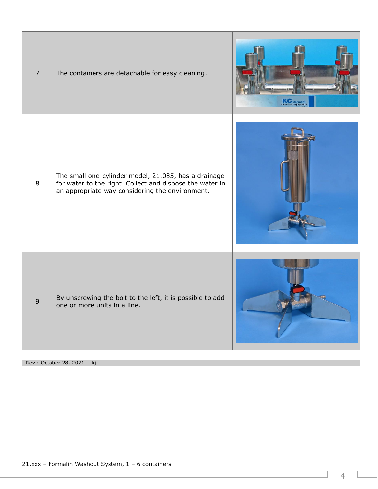| $\overline{7}$ | The containers are detachable for easy cleaning.                                                                                                                    | Research Equipment |
|----------------|---------------------------------------------------------------------------------------------------------------------------------------------------------------------|--------------------|
| 8              | The small one-cylinder model, 21.085, has a drainage<br>for water to the right. Collect and dispose the water in<br>an appropriate way considering the environment. |                    |
| 9              | By unscrewing the bolt to the left, it is possible to add<br>one or more units in a line.                                                                           |                    |

Rev.: October 28, 2021 - lkj